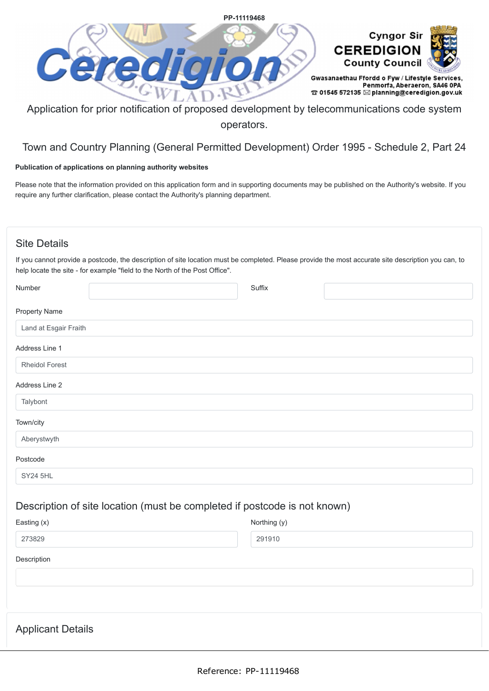

Application for prior notification of proposed development by telecommunications code system operators.

# Town and Country Planning (General Permitted Development) Order 1995 - Schedule 2, Part 24

# **Publication of applications on planning authority websites**

Please note that the information provided on this application form and in supporting documents may be published on the Authority's website. If you require any further clarification, please contact the Authority's planning department.

# Site Details

If you cannot provide a postcode, the description of site location must be completed. Please provide the most accurate site description you can, to help locate the site - for example "field to the North of the Post Office".

| Number                   |                                                                           | Suffix       |  |
|--------------------------|---------------------------------------------------------------------------|--------------|--|
| <b>Property Name</b>     |                                                                           |              |  |
| Land at Esgair Fraith    |                                                                           |              |  |
| Address Line 1           |                                                                           |              |  |
| <b>Rheidol Forest</b>    |                                                                           |              |  |
| Address Line 2           |                                                                           |              |  |
| Talybont                 |                                                                           |              |  |
| Town/city                |                                                                           |              |  |
| Aberystwyth              |                                                                           |              |  |
| Postcode                 |                                                                           |              |  |
| <b>SY24 5HL</b>          |                                                                           |              |  |
|                          | Description of site location (must be completed if postcode is not known) |              |  |
| Easting (x)              |                                                                           | Northing (y) |  |
| 273829                   |                                                                           | 291910       |  |
| Description              |                                                                           |              |  |
|                          |                                                                           |              |  |
|                          |                                                                           |              |  |
|                          |                                                                           |              |  |
| <b>Applicant Details</b> |                                                                           |              |  |
|                          |                                                                           |              |  |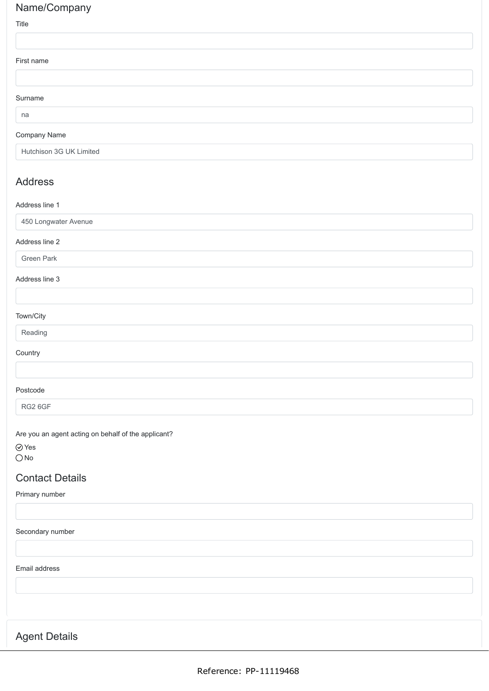# Name/Company

## Title

| First name |  |  |
|------------|--|--|
|            |  |  |
| Surname    |  |  |
| na         |  |  |

# Company Name

Hutchison 3G UK Limited

# Address

## Address line 1

| 450 Longwater Avenue |  |  |  |
|----------------------|--|--|--|
| Address line 2       |  |  |  |
| Green Park           |  |  |  |
| Address line 3       |  |  |  |
|                      |  |  |  |
| Town/City            |  |  |  |
| Reading              |  |  |  |
| Country              |  |  |  |
|                      |  |  |  |
| Postcode             |  |  |  |
| RG2 6GF              |  |  |  |

Are you an agent acting on behalf of the applicant?

Yes  $\bigcirc$  No

# Contact Details

Primary number

## Secondary number

Email address

Agent Details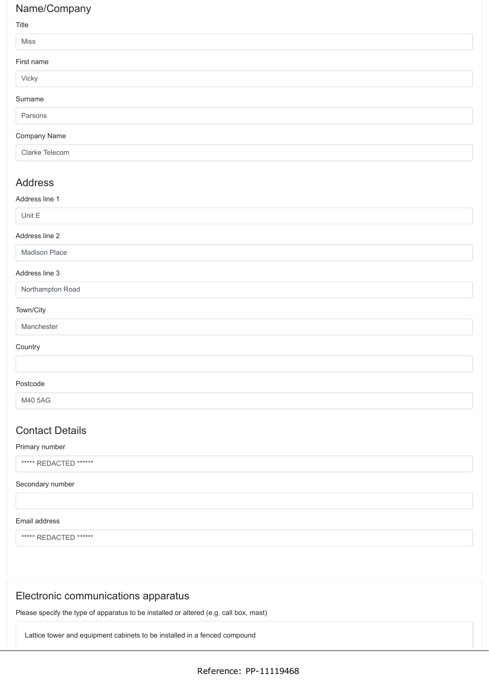# Name/Company

## Title

| $\cdots$         |  |
|------------------|--|
| Miss             |  |
| First name       |  |
| Vicky            |  |
| Surname          |  |
| Parsons          |  |
| Company Name     |  |
| Clarke Telecom   |  |
| <b>Address</b>   |  |
| Address line 1   |  |
| Unit E           |  |
| Address line 2   |  |
| Madison Place    |  |
| Address line 3   |  |
| Northampton Road |  |
| Town/City        |  |
| Manchester       |  |
|                  |  |

# **Country**

## Postcode

M40 5AG

# Contact Details

## Primary number

\*\*\*\*\* REDACTED \*\*\*\*\*\*

## Secondary number

## Email address

\*\*\*\*\* REDACTED \*\*\*\*\*\*

# Electronic communications apparatus

Please specify the type of apparatus to be installed or altered (e.g. call box, mast)

Lattice tower and equipment cabinets to be installed in a fenced compound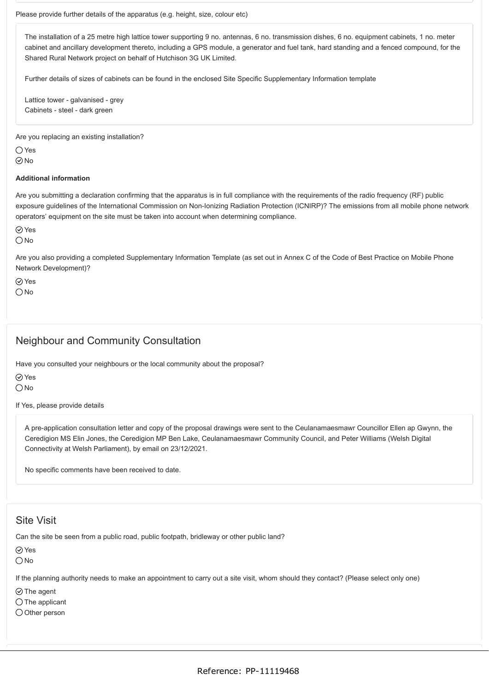The installation of a 25 metre high lattice tower supporting 9 no. antennas, 6 no. transmission dishes, 6 no. equipment cabinets, 1 no. meter cabinet and ancillary development thereto, including a GPS module, a generator and fuel tank, hard standing and a fenced compound, for the Shared Rural Network project on behalf of Hutchison 3G UK Limited.

Further details of sizes of cabinets can be found in the enclosed Site Specific Supplementary Information template

Lattice tower - galvanised - grey Cabinets - steel - dark green

Are you replacing an existing installation?

 $\bigcap$  Yes  $\odot$ No

#### **Additional information**

Are you submitting a declaration confirming that the apparatus is in full compliance with the requirements of the radio frequency (RF) public exposure guidelines of the International Commission on Non-Ionizing Radiation Protection (ICNIRP)? The emissions from all mobile phone network operators' equipment on the site must be taken into account when determining compliance.

Yes

 $\bigcap$  No

Are you also providing a completed Supplementary Information Template (as set out in Annex C of the Code of Best Practice on Mobile Phone Network Development)?

 $\oslash$  Yes  $\bigcirc$  No

# Neighbour and Community Consultation

Have you consulted your neighbours or the local community about the proposal?

Yes

 $\bigcirc$  No

If Yes, please provide details

A pre-application consultation letter and copy of the proposal drawings were sent to the Ceulanamaesmawr Councillor Ellen ap Gwynn, the Ceredigion MS Elin Jones, the Ceredigion MP Ben Lake, Ceulanamaesmawr Community Council, and Peter Williams (Welsh Digital Connectivity at Welsh Parliament), by email on 23/12/2021.

No specific comments have been received to date.

# Site Visit

Can the site be seen from a public road, public footpath, bridleway or other public land?

⊙ Yes

 $\bigcirc$  No

If the planning authority needs to make an appointment to carry out a site visit, whom should they contact? (Please select only one)

 $\odot$  The agent

 $\bigcirc$  The applicant

 $\bigcirc$  Other person